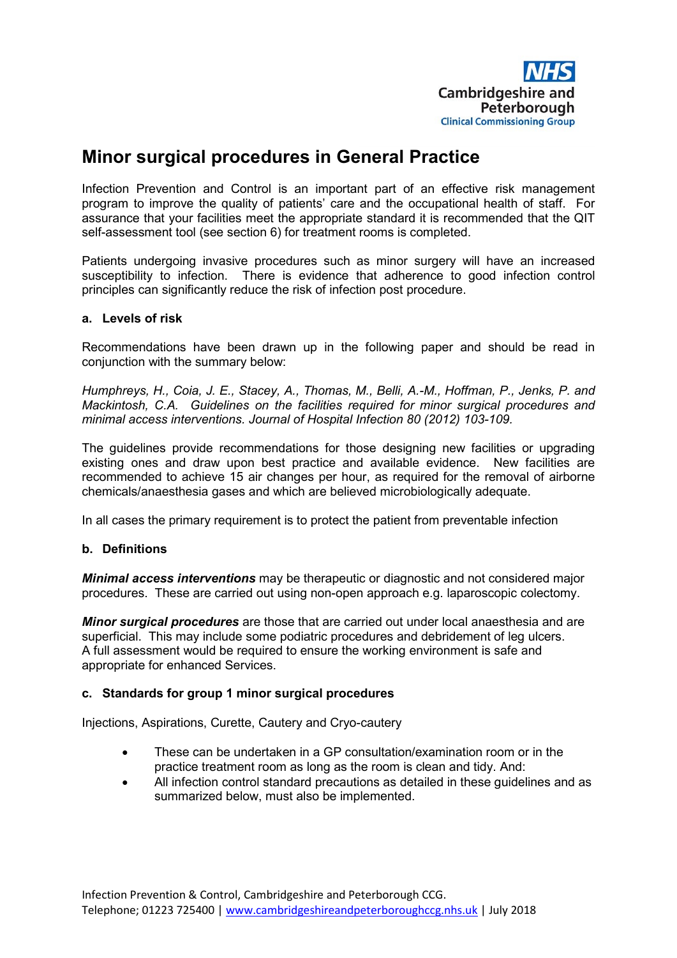

# **Minor surgical procedures in General Practice**

Infection Prevention and Control is an important part of an effective risk management program to improve the quality of patients' care and the occupational health of staff. For assurance that your facilities meet the appropriate standard it is recommended that the QIT self-assessment tool (see section 6) for treatment rooms is completed.

Patients undergoing invasive procedures such as minor surgery will have an increased susceptibility to infection. There is evidence that adherence to good infection control principles can significantly reduce the risk of infection post procedure.

# **a. Levels of risk**

Recommendations have been drawn up in the following paper and should be read in conjunction with the summary below:

*Humphreys, H., Coia, J. E., Stacey, A., Thomas, M., Belli, A.-M., Hoffman, P., Jenks, P. and Mackintosh, C.A. Guidelines on the facilities required for minor surgical procedures and minimal access interventions. Journal of Hospital Infection 80 (2012) 103-109.*

The guidelines provide recommendations for those designing new facilities or upgrading existing ones and draw upon best practice and available evidence. New facilities are recommended to achieve 15 air changes per hour, as required for the removal of airborne chemicals/anaesthesia gases and which are believed microbiologically adequate.

In all cases the primary requirement is to protect the patient from preventable infection

# **b. Definitions**

*Minimal access interventions* may be therapeutic or diagnostic and not considered major procedures. These are carried out using non-open approach e.g. laparoscopic colectomy.

*Minor surgical procedures* are those that are carried out under local anaesthesia and are superficial. This may include some podiatric procedures and debridement of leg ulcers. A full assessment would be required to ensure the working environment is safe and appropriate for enhanced Services.

# **c. Standards for group 1 minor surgical procedures**

Injections, Aspirations, Curette, Cautery and Cryo-cautery

- These can be undertaken in a GP consultation/examination room or in the practice treatment room as long as the room is clean and tidy. And:
- All infection control standard precautions as detailed in these guidelines and as summarized below, must also be implemented.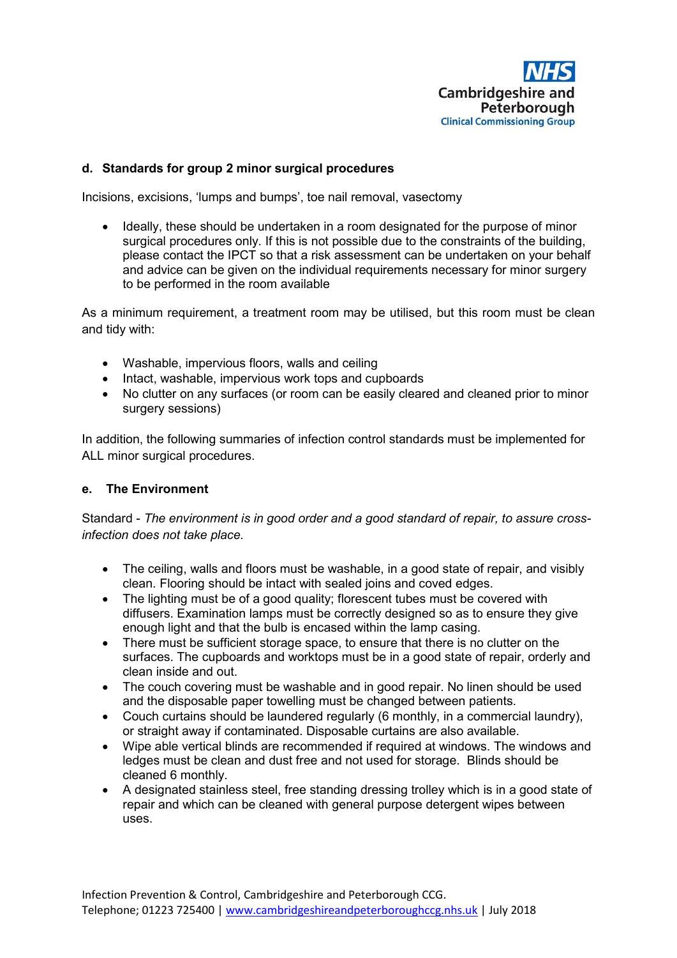

# **d. Standards for group 2 minor surgical procedures**

Incisions, excisions, 'lumps and bumps', toe nail removal, vasectomy

• Ideally, these should be undertaken in a room designated for the purpose of minor surgical procedures only. If this is not possible due to the constraints of the building, please contact the IPCT so that a risk assessment can be undertaken on your behalf and advice can be given on the individual requirements necessary for minor surgery to be performed in the room available

As a minimum requirement, a treatment room may be utilised, but this room must be clean and tidy with:

- Washable, impervious floors, walls and ceiling
- Intact, washable, impervious work tops and cupboards
- No clutter on any surfaces (or room can be easily cleared and cleaned prior to minor surgery sessions)

In addition, the following summaries of infection control standards must be implemented for ALL minor surgical procedures.

#### **e. The Environment**

Standard - *The environment is in good order and a good standard of repair, to assure crossinfection does not take place.*

- The ceiling, walls and floors must be washable, in a good state of repair, and visibly clean. Flooring should be intact with sealed joins and coved edges.
- The lighting must be of a good quality; florescent tubes must be covered with diffusers. Examination lamps must be correctly designed so as to ensure they give enough light and that the bulb is encased within the lamp casing.
- There must be sufficient storage space, to ensure that there is no clutter on the surfaces. The cupboards and worktops must be in a good state of repair, orderly and clean inside and out.
- The couch covering must be washable and in good repair. No linen should be used and the disposable paper towelling must be changed between patients.
- Couch curtains should be laundered regularly (6 monthly, in a commercial laundry), or straight away if contaminated. Disposable curtains are also available.
- Wipe able vertical blinds are recommended if required at windows. The windows and ledges must be clean and dust free and not used for storage. Blinds should be cleaned 6 monthly.
- A designated stainless steel, free standing dressing trolley which is in a good state of repair and which can be cleaned with general purpose detergent wipes between uses.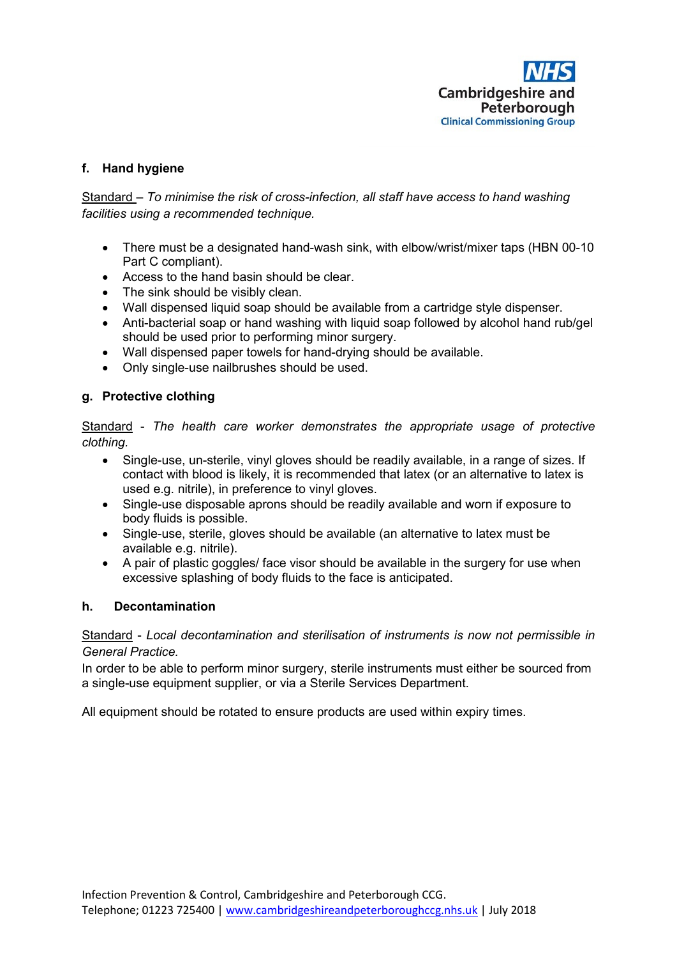# **f. Hand hygiene**

Standard – *To minimise the risk of cross-infection, all staff have access to hand washing facilities using a recommended technique.*

- There must be a designated hand-wash sink, with elbow/wrist/mixer taps (HBN 00-10) Part C compliant).
- Access to the hand basin should be clear.
- The sink should be visibly clean.
- Wall dispensed liquid soap should be available from a cartridge style dispenser.
- Anti-bacterial soap or hand washing with liquid soap followed by alcohol hand rub/gel should be used prior to performing minor surgery.
- Wall dispensed paper towels for hand-drying should be available.
- Only single-use nailbrushes should be used.

# **g. Protective clothing**

Standard - *The health care worker demonstrates the appropriate usage of protective clothing.*

- Single-use, un-sterile, vinyl gloves should be readily available, in a range of sizes. If contact with blood is likely, it is recommended that latex (or an alternative to latex is used e.g. nitrile), in preference to vinyl gloves.
- Single-use disposable aprons should be readily available and worn if exposure to body fluids is possible.
- Single-use, sterile, gloves should be available (an alternative to latex must be available e.g. nitrile).
- A pair of plastic goggles/ face visor should be available in the surgery for use when excessive splashing of body fluids to the face is anticipated.

# **h. Decontamination**

Standard - *Local decontamination and sterilisation of instruments is now not permissible in General Practice.*

In order to be able to perform minor surgery, sterile instruments must either be sourced from a single-use equipment supplier, or via a Sterile Services Department.

All equipment should be rotated to ensure products are used within expiry times.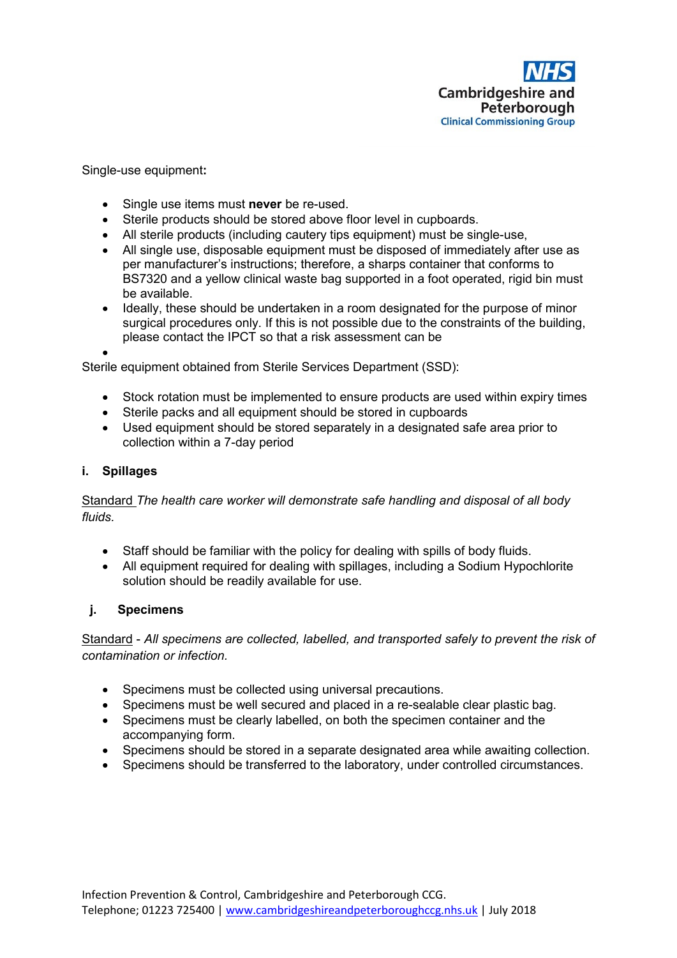

Single-use equipment**:**

- Single use items must **never** be re-used.
- Sterile products should be stored above floor level in cupboards.
- All sterile products (including cautery tips equipment) must be single-use,
- All single use, disposable equipment must be disposed of immediately after use as per manufacturer's instructions; therefore, a sharps container that conforms to BS7320 and a yellow clinical waste bag supported in a foot operated, rigid bin must be available.
- Ideally, these should be undertaken in a room designated for the purpose of minor surgical procedures only. If this is not possible due to the constraints of the building, please contact the IPCT so that a risk assessment can be

•

Sterile equipment obtained from Sterile Services Department (SSD):

- Stock rotation must be implemented to ensure products are used within expiry times
- Sterile packs and all equipment should be stored in cupboards
- Used equipment should be stored separately in a designated safe area prior to collection within a 7-day period

# **i. Spillages**

Standard *The health care worker will demonstrate safe handling and disposal of all body fluids.*

- Staff should be familiar with the policy for dealing with spills of body fluids.
- All equipment required for dealing with spillages, including a Sodium Hypochlorite solution should be readily available for use.

# **j. Specimens**

Standard - *All specimens are collected, labelled, and transported safely to prevent the risk of contamination or infection.*

- Specimens must be collected using universal precautions.
- Specimens must be well secured and placed in a re-sealable clear plastic bag.
- Specimens must be clearly labelled, on both the specimen container and the accompanying form.
- Specimens should be stored in a separate designated area while awaiting collection.
- Specimens should be transferred to the laboratory, under controlled circumstances.